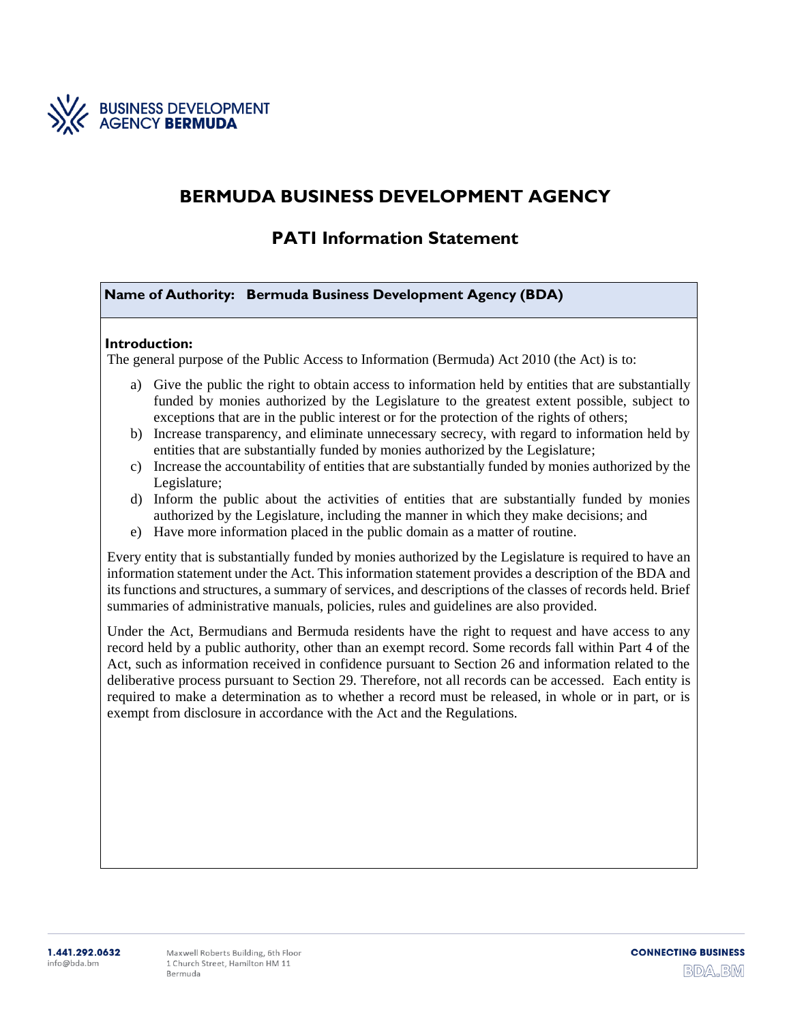

# **BERMUDA BUSINESS DEVELOPMENT AGENCY**

# **PATI Information Statement**

**Name of Authority: Bermuda Business Development Agency (BDA)**

#### **Introduction:**

The general purpose of the Public Access to Information (Bermuda) Act 2010 (the Act) is to:

- a) Give the public the right to obtain access to information held by entities that are substantially funded by monies authorized by the Legislature to the greatest extent possible, subject to exceptions that are in the public interest or for the protection of the rights of others;
- b) Increase transparency, and eliminate unnecessary secrecy, with regard to information held by entities that are substantially funded by monies authorized by the Legislature;
- c) Increase the accountability of entities that are substantially funded by monies authorized by the Legislature;
- d) Inform the public about the activities of entities that are substantially funded by monies authorized by the Legislature, including the manner in which they make decisions; and
- e) Have more information placed in the public domain as a matter of routine.

Every entity that is substantially funded by monies authorized by the Legislature is required to have an information statement under the Act. This information statement provides a description of the BDA and its functions and structures, a summary of services, and descriptions of the classes of records held. Brief summaries of administrative manuals, policies, rules and guidelines are also provided.

Under the Act, Bermudians and Bermuda residents have the right to request and have access to any record held by a public authority, other than an exempt record. Some records fall within Part 4 of the Act, such as information received in confidence pursuant to Section 26 and information related to the deliberative process pursuant to Section 29. Therefore, not all records can be accessed. Each entity is required to make a determination as to whether a record must be released, in whole or in part, or is exempt from disclosure in accordance with the Act and the Regulations.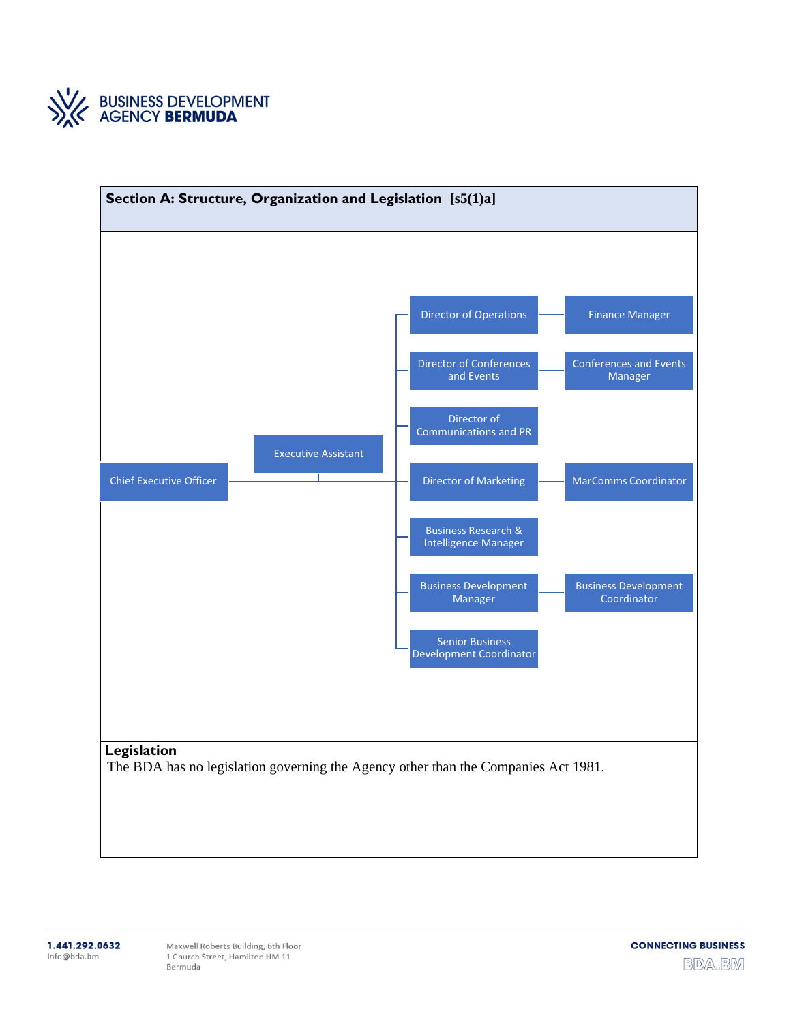

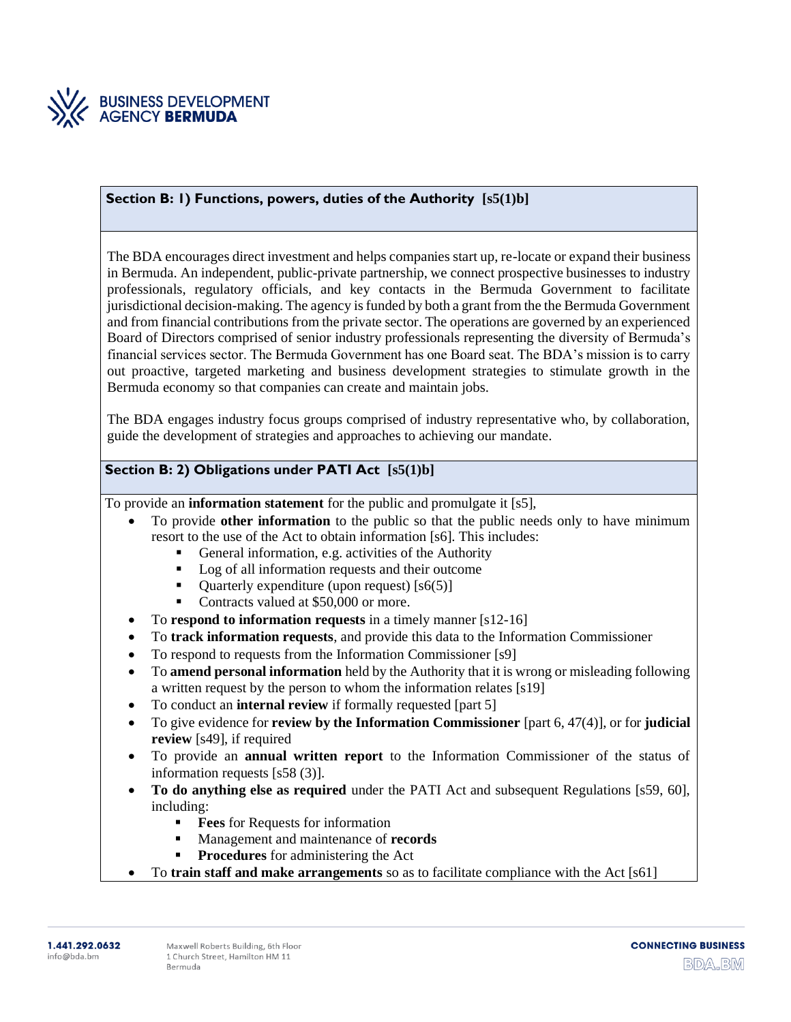

#### **Section B: 1) Functions, powers, duties of the Authority [s5(1)b]**

The BDA encourages direct investment and helps companies start up, re-locate or expand their business in Bermuda. An independent, public-private partnership, we connect prospective businesses to industry professionals, regulatory officials, and key contacts in the Bermuda Government to facilitate jurisdictional decision-making. The agency is funded by both a grant from the the Bermuda Government and from financial contributions from the private sector. The operations are governed by an experienced Board of Directors comprised of senior industry professionals representing the diversity of Bermuda's financial services sector. The Bermuda Government has one Board seat. The BDA's mission is to carry out proactive, targeted marketing and business development strategies to stimulate growth in the Bermuda economy so that companies can create and maintain jobs.

The BDA engages industry focus groups comprised of industry representative who, by collaboration, guide the development of strategies and approaches to achieving our mandate.

## **Section B: 2) Obligations under PATI Act [s5(1)b]**

To provide an **information statement** for the public and promulgate it [s5],

- To provide **other information** to the public so that the public needs only to have minimum resort to the use of the Act to obtain information [s6]. This includes:
	- General information, e.g. activities of the Authority
	- Log of all information requests and their outcome
	- Quarterly expenditure (upon request) [s6(5)]
	- Contracts valued at \$50,000 or more.
- To **respond to information requests** in a timely manner [s12-16]
- To **track information requests**, and provide this data to the Information Commissioner
- To respond to requests from the Information Commissioner [s9]
- To **amend personal information** held by the Authority that it is wrong or misleading following a written request by the person to whom the information relates [s19]
- To conduct an **internal review** if formally requested [part 5]
- To give evidence for **review by the Information Commissioner** [part 6, 47(4)], or for **judicial review** [s49], if required
- To provide an **annual written report** to the Information Commissioner of the status of information requests [s58 (3)].
- **To do anything else as required** under the PATI Act and subsequent Regulations [s59, 60], including:
	- **Fees** for Requests for information
	- Management and maintenance of **records**
	- **Procedures** for administering the Act
- To **train staff and make arrangements** so as to facilitate compliance with the Act [s61]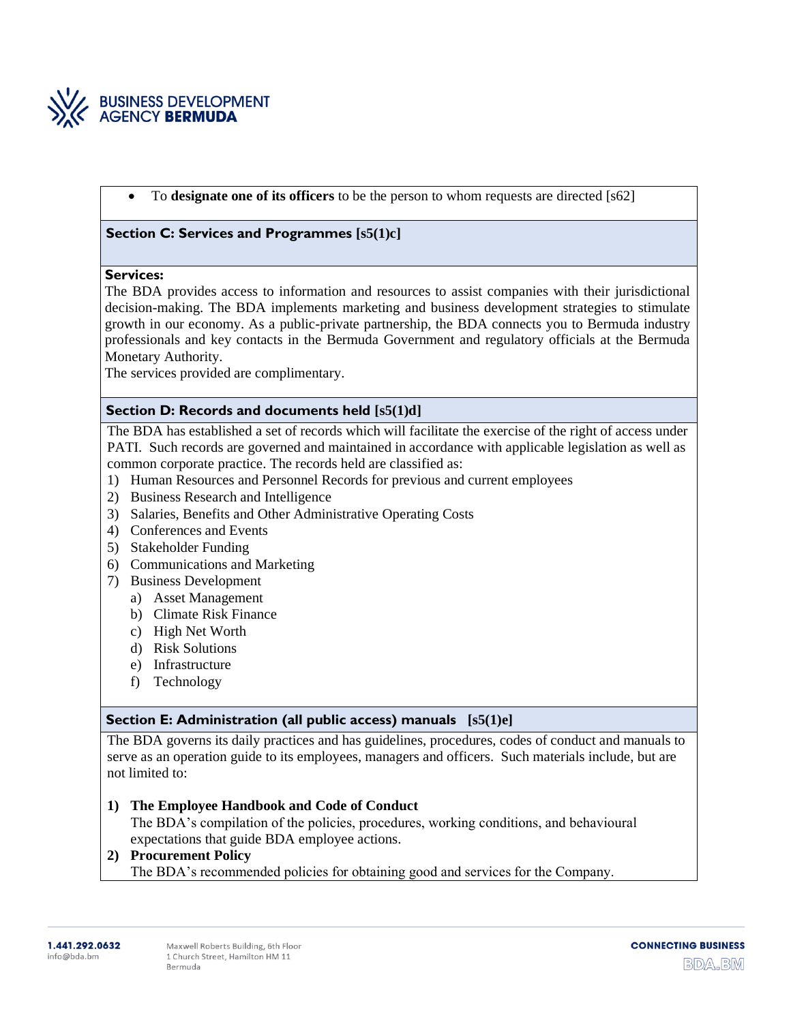

• To **designate one of its officers** to be the person to whom requests are directed [s62]

#### **Section C: Services and Programmes [s5(1)c]**

#### **Services:**

The BDA provides access to information and resources to assist companies with their jurisdictional decision-making. The BDA implements marketing and business development strategies to stimulate growth in our economy. As a public-private partnership, the BDA connects you to Bermuda industry professionals and key contacts in the Bermuda Government and regulatory officials at the Bermuda Monetary Authority.

The services provided are complimentary.

### **Section D: Records and documents held [s5(1)d]**

The BDA has established a set of records which will facilitate the exercise of the right of access under PATI. Such records are governed and maintained in accordance with applicable legislation as well as common corporate practice. The records held are classified as:

- 1) Human Resources and Personnel Records for previous and current employees
- 2) Business Research and Intelligence
- 3) Salaries, Benefits and Other Administrative Operating Costs
- 4) Conferences and Events
- 5) Stakeholder Funding
- 6) Communications and Marketing
- 7) Business Development
	- a) Asset Management
	- b) Climate Risk Finance
	- c) High Net Worth
	- d) Risk Solutions
	- e) Infrastructure
	- f) Technology

#### **Section E: Administration (all public access) manuals [s5(1)e]**

The BDA governs its daily practices and has guidelines, procedures, codes of conduct and manuals to serve as an operation guide to its employees, managers and officers. Such materials include, but are not limited to:

**1) The Employee Handbook and Code of Conduct**

The BDA's compilation of the policies, procedures, working conditions, and behavioural expectations that guide BDA employee actions.

#### **2) Procurement Policy**

The BDA's recommended policies for obtaining good and services for the Company.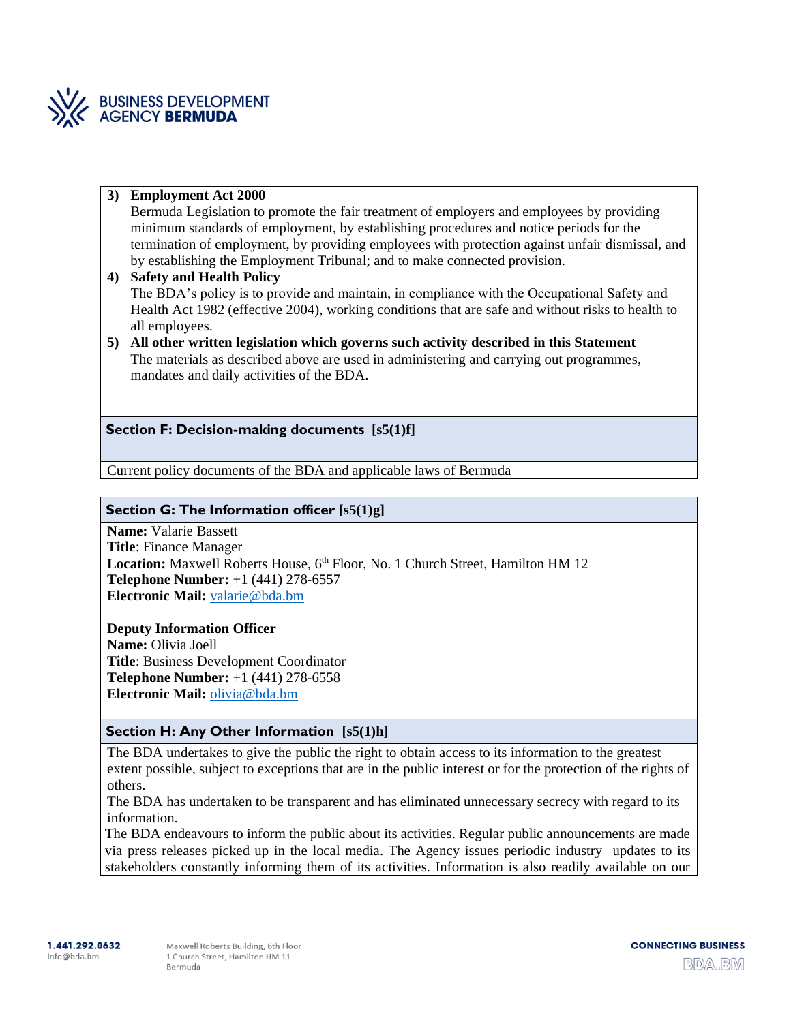

#### **3) Employment Act 2000**

Bermuda Legislation to promote the fair treatment of employers and employees by providing minimum standards of employment, by establishing procedures and notice periods for the termination of employment, by providing employees with protection against unfair dismissal, and by establishing the Employment Tribunal; and to make connected provision.

#### **4) Safety and Health Policy** The BDA's policy is to provide and maintain, in compliance with the Occupational Safety and Health Act 1982 (effective 2004), working conditions that are safe and without risks to health to all employees.

**5) All other written legislation which governs such activity described in this Statement** The materials as described above are used in administering and carrying out programmes, mandates and daily activities of the BDA.

### **Section F: Decision-making documents [s5(1)f]**

Current policy documents of the BDA and applicable laws of Bermuda

## **Section G: The Information officer [s5(1)g]**

**Name:** Valarie Bassett **Title**: Finance Manager Location: Maxwell Roberts House, 6<sup>th</sup> Floor, No. 1 Church Street, Hamilton HM 12 **Telephone Number:** +1 (441) 278-6557 **Electronic Mail:** [valarie@bda.bm](mailto:valarie@bda.bm)

#### **Deputy Information Officer**

**Name:** Olivia Joell **Title**: Business Development Coordinator **Telephone Number:** +1 (441) 278-6558 **Electronic Mail:** [olivia@bda.bm](mailto:olivia@bda.bm)

## **Section H: Any Other Information [s5(1)h]**

The BDA undertakes to give the public the right to obtain access to its information to the greatest extent possible, subject to exceptions that are in the public interest or for the protection of the rights of others.

The BDA has undertaken to be transparent and has eliminated unnecessary secrecy with regard to its information.

The BDA endeavours to inform the public about its activities. Regular public announcements are made via press releases picked up in the local media. The Agency issues periodic industry updates to its stakeholders constantly informing them of its activities. Information is also readily available on our